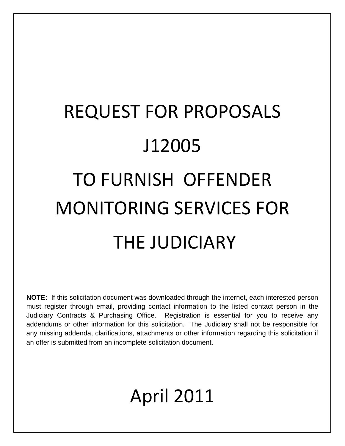# REQUEST FOR PROPOSALS J12005 TO FURNISH OFFENDER MONITORING SERVICES FOR THE JUDICIARY

**NOTE:** If this solicitation document was downloaded through the internet, each interested person must register through email, providing contact information to the listed contact person in the Judiciary Contracts & Purchasing Office. Registration is essential for you to receive any addendums or other information for this solicitation. The Judiciary shall not be responsible for any missing addenda, clarifications, attachments or other information regarding this solicitation if an offer is submitted from an incomplete solicitation document.

# April 2011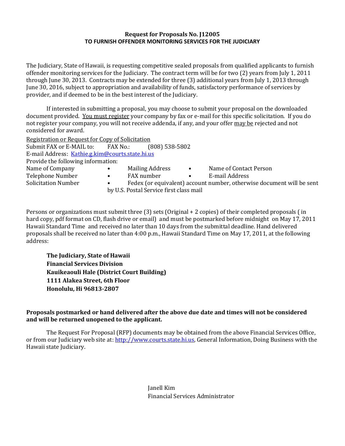#### **Request for Proposals No. J12005 TO FURNISH OFFENDER MONITORING SERVICES FOR THE JUDICIARY**

The Judiciary, State of Hawaii, is requesting competitive sealed proposals from qualified applicants to furnish offender monitoring services for the Judiciary. The contract term will be for two (2) years from July 1, 2011 through June 30, 2013. Contracts may be extended for three (3) additional years from July 1, 2013 through June 30, 2016, subject to appropriation and availability of funds, satisfactory performance of services by provider, and if deemed to be in the best interest of the Judiciary.

If interested in submitting a proposal, you may choose to submit your proposal on the downloaded document provided. You must register your company by fax or e-mail for this specific solicitation. If you do not register your company, you will not receive addenda, if any, and your offer may be rejected and not considered for award.

Registration or Request for Copy of Solicitation

Submit FAX or E-MAIL to: FAX No.: (808) 538-5802 E-mail Address: [Kathie.g.kim@courts.state.hi.us](mailto:Kathie.g.kim@courts.state.hi.us) Provide the following information: Name of Company • Mailing Address • Name of Contact Person Telephone Number • FAX number • E-mail Address Solicitation Number • • Fedex (or equivalent) account number, otherwise document will be sent by U.S. Postal Service first class mail

Persons or organizations must submit three (3) sets (Original + 2 copies) of their completed proposals ( in hard copy, pdf format on CD, flash drive or email) and must be postmarked before midnight on May 17, 2011 Hawaii Standard Time and received no later than 10 days from the submittal deadline. Hand delivered proposals shall be received no later than 4:00 p.m., Hawaii Standard Time on May 17, 2011, at the following address:

**The Judiciary, State of Hawaii Financial Services Division Kauikeaouli Hale (District Court Building) 1111 Alakea Street, 6th Floor Honolulu, Hi 96813-2807**

#### **Proposals postmarked or hand delivered after the above due date and times will not be considered and will be returned unopened to the applicant.**

The Request For Proposal (RFP) documents may be obtained from the above Financial Services Office, or from our Judiciary web site at: [http://www.courts.state.hi.us,](http://www.courts.state.hi.us/) General Information, Doing Business with the Hawaii state Judiciary.

> Janell Kim Financial Services Administrator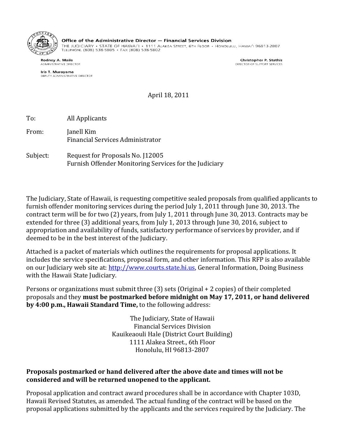

Office of the Administrative Director - Financial Services Division

THE JUDICIARY • STATE OF HAWAI'I • 1111 ALAKEA STREET, 6TH FLOOR • HONOLULU, HAWAI'I 96813-2807<br>TLLLPHONL (808) 538-5805 • FAX (808) 538-5802

Rodney A. Maile **ADMINISTRATIVE DIRECTOR** 

Iris T. Murayama DEPUTY ADMINISTRATIVE DIRECTOR

Christopher P. Stathis DIRECTOR OF SUPPORT SERVICES

April 18, 2011

To: All Applicants

From: Janell Kim Financial Services Administrator

Subject: Request for Proposals No. J12005 Furnish Offender Monitoring Services for the Judiciary

The Judiciary, State of Hawaii, is requesting competitive sealed proposals from qualified applicants to furnish offender monitoring services during the period July 1, 2011 through June 30, 2013. The contract term will be for two (2) years, from July 1, 2011 through June 30, 2013. Contracts may be extended for three (3) additional years, from July 1, 2013 through June 30, 2016, subject to appropriation and availability of funds, satisfactory performance of services by provider, and if deemed to be in the best interest of the Judiciary.

Attached is a packet of materials which outlines the requirements for proposal applications. It includes the service specifications, proposal form, and other information. This RFP is also available on our Judiciary web site at[: http://www.courts.state.hi.us,](http://www.courts.state.hi.us/) General Information, Doing Business with the Hawaii State Judiciary.

Persons or organizations must submit three (3) sets (Original + 2 copies) of their completed proposals and they **must be postmarked before midnight on May 17, 2011, or hand delivered by 4:00 p.m., Hawaii Standard Time,** to the following address:

> The Judiciary, State of Hawaii Financial Services Division Kauikeaouli Hale (District Court Building) 1111 Alakea Street., 6th Floor Honolulu, HI 96813-2807

# **Proposals postmarked or hand delivered after the above date and times will not be considered and will be returned unopened to the applicant.**

Proposal application and contract award procedures shall be in accordance with Chapter 103D, Hawaii Revised Statutes, as amended. The actual funding of the contract will be based on the proposal applications submitted by the applicants and the services required by the Judiciary. The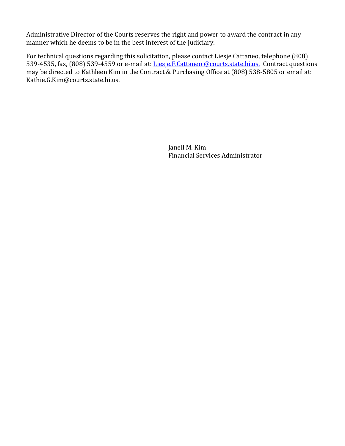Administrative Director of the Courts reserves the right and power to award the contract in any manner which he deems to be in the best interest of the Judiciary.

For technical questions regarding this solicitation, please contact Liesje Cattaneo, telephone (808) 539-4535, fax, (808) 539-4559 or e-mail at: Liesje.F.Cattaneo @courts.state.hi.us. Contract questions may be directed to Kathleen Kim in the Contract & Purchasing Office at (808) 538-5805 or email at: Kathie.G.Kim@courts.state.hi.us.

> Janell M. Kim Financial Services Administrator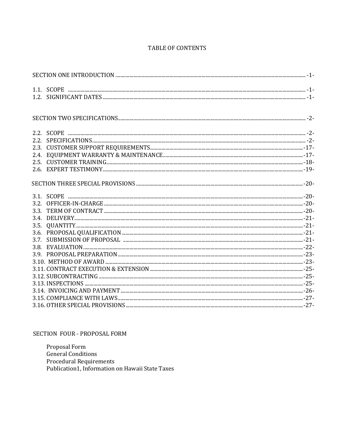#### TABLE OF CONTENTS

| 2.4. |  |
|------|--|
|      |  |
|      |  |
|      |  |
|      |  |
|      |  |
|      |  |
| 3.4. |  |
| 3.5. |  |
|      |  |
| 3.7. |  |
|      |  |
|      |  |
|      |  |
|      |  |
|      |  |
|      |  |
|      |  |
|      |  |
|      |  |

#### SECTION FOUR - PROPOSAL FORM

Proposal Form General Conditions Procedural Requirements Publication1, Information on Hawaii State Taxes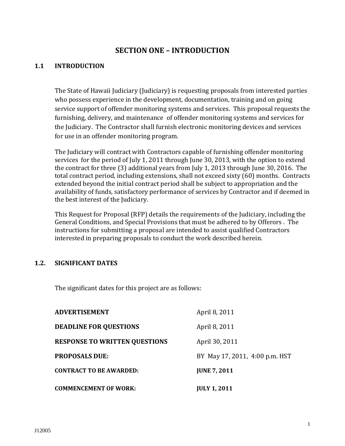# **SECTION ONE – INTRODUCTION**

#### **1.1 INTRODUCTION**

The State of Hawaii Judiciary (Judiciary) is requesting proposals from interested parties who possess experience in the development, documentation, training and on going service support of offender monitoring systems and services. This proposal requests the furnishing, delivery, and maintenance of offender monitoring systems and services for the Judiciary. The Contractor shall furnish electronic monitoring devices and services for use in an offender monitoring program.

The Judiciary will contract with Contractors capable of furnishing offender monitoring services for the period of July 1, 2011 through June 30, 2013, with the option to extend the contract for three (3) additional years from July 1, 2013 through June 30, 2016. The total contract period, including extensions, shall not exceed sixty (60) months. Contracts extended beyond the initial contract period shall be subject to appropriation and the availability of funds, satisfactory performance of services by Contractor and if deemed in the best interest of the Judiciary.

This Request for Proposal (RFP) details the requirements of the Judiciary, including the General Conditions, and Special Provisions that must be adhered to by Offerors . The instructions for submitting a proposal are intended to assist qualified Contractors interested in preparing proposals to conduct the work described herein.

# **1.2. SIGNIFICANT DATES**

The significant dates for this project are as follows:

| <b>ADVERTISEMENT</b>                 | April 8, 2011                  |
|--------------------------------------|--------------------------------|
| <b>DEADLINE FOR QUESTIONS</b>        | April 8, 2011                  |
| <b>RESPONSE TO WRITTEN QUESTIONS</b> | April 30, 2011                 |
| <b>PROPOSALS DUE:</b>                | BY May 17, 2011, 4:00 p.m. HST |
| <b>CONTRACT TO BE AWARDED:</b>       | <b>JUNE 7, 2011</b>            |
| <b>COMMENCEMENT OF WORK:</b>         | <b>JULY 1, 2011</b>            |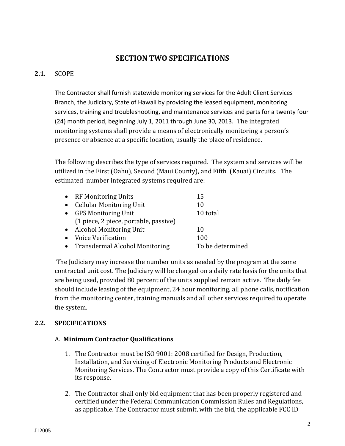# **SECTION TWO SPECIFICATIONS**

# **2.1.** SCOPE

The Contractor shall furnish statewide monitoring services for the Adult Client Services Branch, the Judiciary, State of Hawaii by providing the leased equipment, monitoring services, training and troubleshooting, and maintenance services and parts for a twenty four (24) month period, beginning July 1, 2011 through June 30, 2013.The integrated monitoring systems shall provide a means of electronically monitoring a person's presence or absence at a specific location, usually the place of residence.

The following describes the type of services required. The system and services will be utilized in the First (Oahu), Second (Maui County), and Fifth (Kauai) Circuits. The estimated number integrated systems required are:

| • RF Monitoring Units                 | 15               |
|---------------------------------------|------------------|
| • Cellular Monitoring Unit            | 10               |
| • GPS Monitoring Unit                 | 10 total         |
| (1 piece, 2 piece, portable, passive) |                  |
| • Alcohol Monitoring Unit             | 10               |
| • Voice Verification                  | 100              |
| • Transdermal Alcohol Monitoring      | To be determined |

The Judiciary may increase the number units as needed by the program at the same contracted unit cost. The Judiciary will be charged on a daily rate basis for the units that are being used, provided 80 percent of the units supplied remain active. The daily fee should include leasing of the equipment, 24 hour monitoring, all phone calls, notification from the monitoring center, training manuals and all other services required to operate the system.

# **2.2. SPECIFICATIONS**

# A. **Minimum Contractor Qualifications**

- 1. The Contractor must be ISO 9001: 2008 certified for Design, Production, Installation, and Servicing of Electronic Monitoring Products and Electronic Monitoring Services. The Contractor must provide a copy of this Certificate with its response.
- 2. The Contractor shall only bid equipment that has been properly registered and certified under the Federal Communication Commission Rules and Regulations, as applicable. The Contractor must submit, with the bid, the applicable FCC ID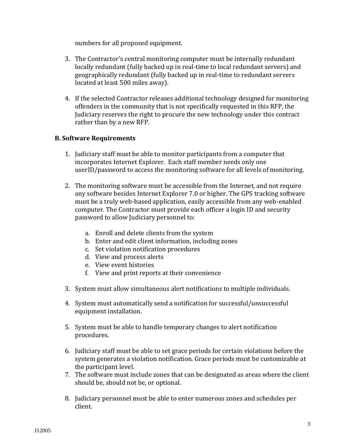numbers for all proposed equipment.

- 3. The Contractor's central monitoring computer must be internally redundant locally redundant (fully backed up in real-time to local redundant servers) and geographically redundant (fully backed up in real-time to redundant servers located at least 500 miles away).
- 4. If the selected Contractor releases additional technology designed for monitoring offenders in the community that is not specifically requested in this RFP, the Judiciary reserves the right to procure the new technology under this contract rather than by a new RFP.

# **B. Software Requirements**

- 1. Judiciary staff must be able to monitor participants from a computer that incorporates Internet Explorer. Each staff member needs only one userID/password to access the monitoring software for all levels of monitoring.
- 2. The monitoring software must be accessible from the Internet, and not require any software besides Internet Explorer 7.0 or higher. The GPS tracking software must be a truly web-based application, easily accessible from any web-enabled computer. The Contractor must provide each officer a login ID and security password to allow Judiciary personnel to:
	- a. Enroll and delete clients from the system
	- b. Enter and edit client information, including zones
	- c. Set violation notification procedures
	- d. View and process alerts
	- e. View event histories
	- f. View and print reports at their convenience
- 3. System must allow simultaneous alert notifications to multiple individuals.
- 4. System must automatically send a notification for successful/unsuccessful equipment installation.
- 5. System must be able to handle temporary changes to alert notification procedures.
- 6. Judiciary staff must be able to set grace periods for certain violations before the system generates a violation notification. Grace periods must be customizable at the participant level.
- 7. The software must include zones that can be designated as areas where the client should be, should not be, or optional.
- 8. Judiciary personnel must be able to enter numerous zones and schedules per client.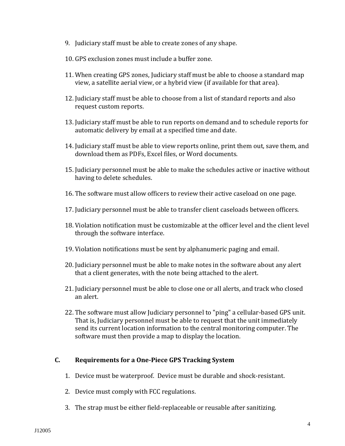- 9. Judiciary staff must be able to create zones of any shape.
- 10. GPS exclusion zones must include a buffer zone.
- 11. When creating GPS zones, Judiciary staff must be able to choose a standard map view, a satellite aerial view, or a hybrid view (if available for that area).
- 12. Judiciary staff must be able to choose from a list of standard reports and also request custom reports.
- 13. Judiciary staff must be able to run reports on demand and to schedule reports for automatic delivery by email at a specified time and date.
- 14. Judiciary staff must be able to view reports online, print them out, save them, and download them as PDFs, Excel files, or Word documents.
- 15. Judiciary personnel must be able to make the schedules active or inactive without having to delete schedules.
- 16. The software must allow officers to review their active caseload on one page.
- 17. Judiciary personnel must be able to transfer client caseloads between officers.
- 18. Violation notification must be customizable at the officer level and the client level through the software interface.
- 19. Violation notifications must be sent by alphanumeric paging and email.
- 20. Judiciary personnel must be able to make notes in the software about any alert that a client generates, with the note being attached to the alert.
- 21. Judiciary personnel must be able to close one or all alerts, and track who closed an alert.
- 22. The software must allow Judiciary personnel to "ping" a cellular-based GPS unit. That is, Judiciary personnel must be able to request that the unit immediately send its current location information to the central monitoring computer. The software must then provide a map to display the location.

# **C. Requirements for a One-Piece GPS Tracking System**

- 1. Device must be waterproof. Device must be durable and shock-resistant.
- 2. Device must comply with FCC regulations.
- 3. The strap must be either field-replaceable or reusable after sanitizing.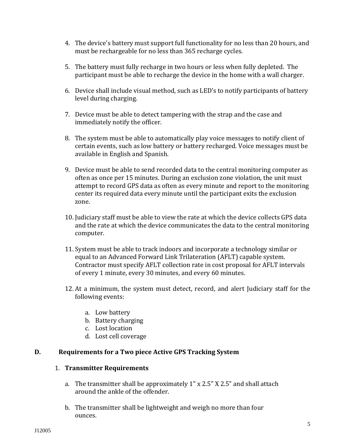- 4. The device's battery must support full functionality for no less than 20 hours, and must be rechargeable for no less than 365 recharge cycles.
- 5. The battery must fully recharge in two hours or less when fully depleted. The participant must be able to recharge the device in the home with a wall charger.
- 6. Device shall include visual method, such as LED's to notify participants of battery level during charging.
- 7. Device must be able to detect tampering with the strap and the case and immediately notify the officer.
- 8. The system must be able to automatically play voice messages to notify client of certain events, such as low battery or battery recharged. Voice messages must be available in English and Spanish.
- 9. Device must be able to send recorded data to the central monitoring computer as often as once per 15 minutes. During an exclusion zone violation, the unit must attempt to record GPS data as often as every minute and report to the monitoring center its required data every minute until the participant exits the exclusion zone.
- 10. Judiciary staff must be able to view the rate at which the device collects GPS data and the rate at which the device communicates the data to the central monitoring computer.
- 11. System must be able to track indoors and incorporate a technology similar or equal to an Advanced Forward Link Trilateration (AFLT) capable system. Contractor must specify AFLT collection rate in cost proposal for AFLT intervals of every 1 minute, every 30 minutes, and every 60 minutes.
- 12. At a minimum, the system must detect, record, and alert Judiciary staff for the following events:
	- a. Low battery
	- b. Battery charging
	- c. Lost location
	- d. Lost cell coverage

# **D. Requirements for a Two piece Active GPS Tracking System**

#### 1. **Transmitter Requirements**

- a. The transmitter shall be approximately 1" x 2.5" X 2.5" and shall attach around the ankle of the offender.
- b. The transmitter shall be lightweight and weigh no more than four ounces.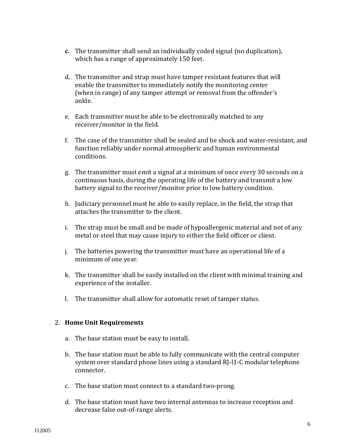- **c.** The transmitter shall send an individually coded signal (no duplication), which has a range of approximately 150 feet.
- d. The transmitter and strap must have tamper resistant features that will enable the transmitter to immediately notify the monitoring center (when in range) of any tamper attempt or removal from the offender's ankle.
- e. Each transmitter must be able to be electronically matched to any receiver/monitor in the field.
- f. The case of the transmitter shall be sealed and be shock and water-resistant, and function reliably under normal atmospheric and human environmental conditions.
- g. The transmitter must emit a signal at a minimum of once every 30 seconds on a continuous basis, during the operating life of the battery and transmit a low battery signal to the receiver/monitor prior to low battery condition.
- h. Judiciary personnel must be able to easily replace, in the field, the strap that attaches the transmitter to the client.
- i. The strap must be small and be made of hypoallergenic material and not of any metal or steel that may cause injury to either the field officer or client.
- j. The batteries powering the transmitter must have an operational life of a minimum of one year.
- k. The transmitter shall be easily installed on the client with minimal training and experience of the installer.
- l. The transmitter shall allow for automatic reset of tamper status.

#### 2. **Home Unit Requirements**

- a. The base station must be easy to install.
- b. The base station must be able to fully communicate with the central computer system over standard phone lines using a standard RJ-l1-C modular telephone connector.
- c. The base station must connect to a standard two-prong.
- d. The base station must have two internal antennas to increase reception and decrease false out-of-range alerts.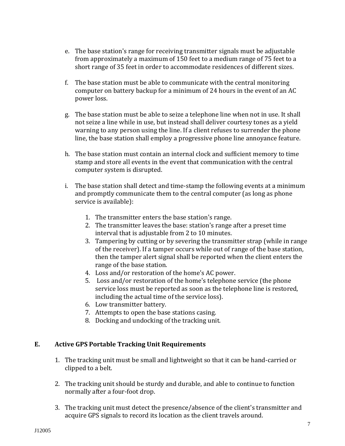- e. The base station's range for receiving transmitter signals must be adjustable from approximately a maximum of 150 feet to a medium range of 75 feet to a short range of 35 feet in order to accommodate residences of different sizes.
- f. The base station must be able to communicate with the central monitoring computer on battery backup for a minimum of 24 hours in the event of an AC power loss.
- g. The base station must be able to seize a telephone line when not in use. It shall not seize a line while in use, but instead shall deliver courtesy tones as a yield warning to any person using the line. If a client refuses to surrender the phone line, the base station shall employ a progressive phone line annoyance feature.
- h. The base station must contain an internal clock and sufficient memory to time stamp and store all events in the event that communication with the central computer system is disrupted.
- i. The base station shall detect and time-stamp the following events at a minimum and promptly communicate them to the central computer (as long as phone service is available):
	- 1. The transmitter enters the base station's range.
	- 2. The transmitter leaves the base: station's range after a preset time interval that is adjustable from 2 to 10 minutes.
	- 3. Tampering by cutting or by severing the transmitter strap (while in range of the receiver). If a tamper occurs while out of range of the base station, then the tamper alert signal shall be reported when the client enters the range of the base station.
	- 4. Loss and/or restoration of the home's AC power.
	- 5. Loss and/or restoration of the home's telephone service (the phone service loss must be reported as soon as the telephone line is restored, including the actual time of the service loss).
	- 6. Low transmitter battery.
	- 7. Attempts to open the base stations casing.
	- 8. Docking and undocking of the tracking unit.

# **E. Active GPS Portable Tracking Unit Requirements**

- 1. The tracking unit must be small and lightweight so that it can be hand-carried or clipped to a belt.
- 2. The tracking unit should be sturdy and durable, and able to continue to function normally after a four-foot drop.
- 3. The tracking unit must detect the presence/absence of the client's transmitter and acquire GPS signals to record its location as the client travels around.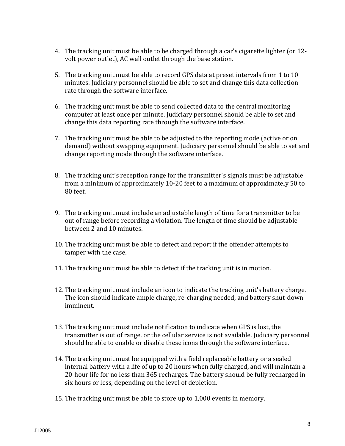- 4. The tracking unit must be able to be charged through a car's cigarette lighter (or 12 volt power outlet), AC wall outlet through the base station.
- 5. The tracking unit must be able to record GPS data at preset intervals from 1 to 10 minutes. Judiciary personnel should be able to set and change this data collection rate through the software interface.
- 6. The tracking unit must be able to send collected data to the central monitoring computer at least once per minute. Judiciary personnel should be able to set and change this data reporting rate through the software interface.
- 7. The tracking unit must be able to be adjusted to the reporting mode (active or on demand) without swapping equipment. Judiciary personnel should be able to set and change reporting mode through the software interface.
- 8. The tracking unit's reception range for the transmitter's signals must be adjustable from a minimum of approximately 10-20 feet to a maximum of approximately 50 to 80 feet.
- 9. The tracking unit must include an adjustable length of time for a transmitter to be out of range before recording a violation. The length of time should be adjustable between 2 and 10 minutes.
- 10. The tracking unit must be able to detect and report if the offender attempts to tamper with the case.
- 11. The tracking unit must be able to detect if the tracking unit is in motion.
- 12. The tracking unit must include an icon to indicate the tracking unit's battery charge. The icon should indicate ample charge, re-charging needed, and battery shut-down imminent.
- 13. The tracking unit must include notification to indicate when GPS is lost, the transmitter is out of range, or the cellular service is not available. Judiciary personnel should be able to enable or disable these icons through the software interface.
- 14. The tracking unit must be equipped with a field replaceable battery or a sealed internal battery with a life of up to 20 hours when fully charged, and will maintain a 20-hour life for no less than 365 recharges. The battery should be fully recharged in six hours or less, depending on the level of depletion.
- 15. The tracking unit must be able to store up to 1,000 events in memory.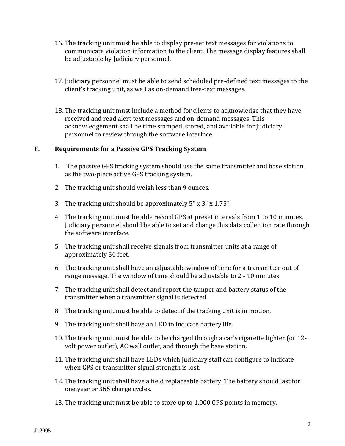- 16. The tracking unit must be able to display pre-set text messages for violations to communicate violation information to the client. The message display features shall be adjustable by Judiciary personnel.
- 17. Judiciary personnel must be able to send scheduled pre-defined text messages to the client's tracking unit, as well as on-demand free-text messages.
- 18. The tracking unit must include a method for clients to acknowledge that they have received and read alert text messages and on-demand messages. This acknowledgement shall be time stamped, stored, and available for Judiciary personnel to review through the software interface.

#### **F. Requirements for a Passive GPS Tracking System**

- 1. The passive GPS tracking system should use the same transmitter and base station as the two-piece active GPS tracking system.
- 2. The tracking unit should weigh less than 9 ounces.
- 3. The tracking unit should be approximately 5" x 3" x 1.75".
- 4. The tracking unit must be able record GPS at preset intervals from 1 to 10 minutes. Judiciary personnel should be able to set and change this data collection rate through the software interface.
- 5. The tracking unit shall receive signals from transmitter units at a range of approximately 50 feet.
- 6. The tracking unit shall have an adjustable window of time for a transmitter out of range message. The window of time should be adjustable to 2 - 10 minutes.
- 7. The tracking unit shall detect and report the tamper and battery status of the transmitter when a transmitter signal is detected.
- 8. The tracking unit must be able to detect if the tracking unit is in motion.
- 9. The tracking unit shall have an LED to indicate battery life.
- 10. The tracking unit must be able to be charged through a car's cigarette lighter (or 12 volt power outlet), AC wall outlet, and through the base station.
- 11. The tracking unit shall have LEDs which Judiciary staff can configure to indicate when GPS or transmitter signal strength is lost.
- 12. The tracking unit shall have a field replaceable battery. The battery should last for one year or 365 charge cycles.
- 13. The tracking unit must be able to store up to 1,000 GPS points in memory.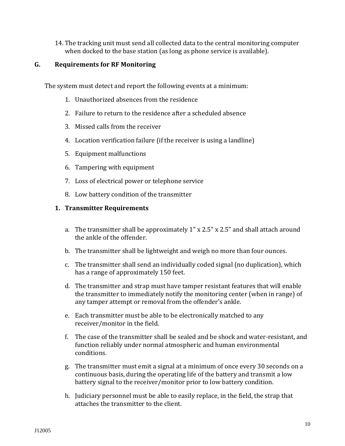14. The tracking unit must send all collected data to the central monitoring computer when docked to the base station (as long as phone service is available).

#### **G. Requirements for RF Monitoring**

The system must detect and report the following events at a minimum:

- 1. Unauthorized absences from the residence
- 2. Failure to return to the residence after a scheduled absence
- 3. Missed calls from the receiver
- 4. Location verification failure (if the receiver is using a landline)
- 5. Equipment malfunctions
- 6. Tampering with equipment
- 7. Loss of electrical power or telephone service
- 8. Low battery condition of the transmitter

# **1. Transmitter Requirements**

- a. The transmitter shall be approximately 1" x 2.5" x 2.5" and shall attach around the ankle of the offender.
- b. The transmitter shall be lightweight and weigh no more than four ounces.
- c. The transmitter shall send an individually coded signal (no duplication), which has a range of approximately 150 feet.
- d. The transmitter and strap must have tamper resistant features that will enable the transmitter to immediately notify the monitoring center (when in range) of any tamper attempt or removal from the offender's ankle.
- e. Each transmitter must be able to be electronically matched to any receiver/monitor in the field.
- f. The case of the transmitter shall be sealed and be shock and water-resistant, and function reliably under normal atmospheric and human environmental conditions.
- g. The transmitter must emit a signal at a minimum of once every 30 seconds on a continuous basis, during the operating life of the battery and transmit a low battery signal to the receiver/monitor prior to low battery condition.
- h. Judiciary personnel must be able to easily replace, in the field, the strap that attaches the transmitter to the client.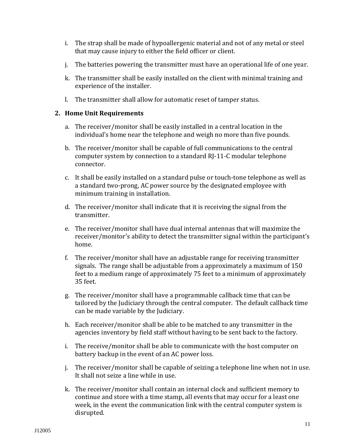- i. The strap shall be made of hypoallergenic material and not of any metal or steel that may cause injury to either the field officer or client.
- j. The batteries powering the transmitter must have an operational life of one year.
- k. The transmitter shall be easily installed on the client with minimal training and experience of the installer.
- l. The transmitter shall allow for automatic reset of tamper status.

# **2. Home Unit Requirements**

- a. The receiver/monitor shall be easily installed in a central location in the individual's home near the telephone and weigh no more than five pounds.
- b. The receiver/monitor shall be capable of full communications to the central computer system by connection to a standard RJ-11-C modular telephone connector.
- c. It shall be easily installed on a standard pulse or touch-tone telephone as well as a standard two-prong, AC power source by the designated employee with minimum training in installation.
- d. The receiver/monitor shall indicate that it is receiving the signal from the transmitter.
- e. The receiver/monitor shall have dual internal antennas that will maximize the receiver/monitor's ability to detect the transmitter signal within the participant's home.
- f. The receiver/monitor shall have an adjustable range for receiving transmitter signals. The range shall be adjustable from a approximately a maximum of 150 feet to a medium range of approximately 75 feet to a minimum of approximately 35 feet.
- g. The receiver/monitor shall have a programmable callback time that can be tailored by the Judiciary through the central computer. The default callback time can be made variable by the Judiciary.
- h. Each receiver/monitor shall be able to be matched to any transmitter in the agencies inventory by field staff without having to be sent back to the factory.
- i. The receive/monitor shall be able to communicate with the host computer on battery backup in the event of an AC power loss.
- j. The receiver/monitor shall be capable of seizing a telephone line when not in use. It shall not seize a line while in use.
- k. The receiver/monitor shall contain an internal clock and sufficient memory to continue and store with a time stamp, all events that may occur for a least one week, in the event the communication link with the central computer system is disrupted.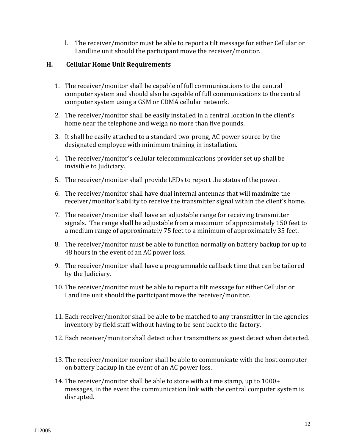l. The receiver/monitor must be able to report a tilt message for either Cellular or Landline unit should the participant move the receiver/monitor.

#### **H. Cellular Home Unit Requirements**

- 1. The receiver/monitor shall be capable of full communications to the central computer system and should also be capable of full communications to the central computer system using a GSM or CDMA cellular network.
- 2. The receiver/monitor shall be easily installed in a central location in the client's home near the telephone and weigh no more than five pounds.
- 3. It shall be easily attached to a standard two-prong, AC power source by the designated employee with minimum training in installation.
- 4. The receiver/monitor's cellular telecommunications provider set up shall be invisible to Judiciary.
- 5. The receiver/monitor shall provide LEDs to report the status of the power.
- 6. The receiver/monitor shall have dual internal antennas that will maximize the receiver/monitor's ability to receive the transmitter signal within the client's home.
- 7. The receiver/monitor shall have an adjustable range for receiving transmitter signals. The range shall be adjustable from a maximum of approximately 150 feet to a medium range of approximately 75 feet to a minimum of approximately 35 feet.
- 8. The receiver/monitor must be able to function normally on battery backup for up to 48 hours in the event of an AC power loss.
- 9. The receiver/monitor shall have a programmable callback time that can be tailored by the Judiciary.
- 10. The receiver/monitor must be able to report a tilt message for either Cellular or Landline unit should the participant move the receiver/monitor.
- 11. Each receiver/monitor shall be able to be matched to any transmitter in the agencies inventory by field staff without having to be sent back to the factory.
- 12. Each receiver/monitor shall detect other transmitters as guest detect when detected.
- 13. The receiver/monitor monitor shall be able to communicate with the host computer on battery backup in the event of an AC power loss.
- 14. The receiver/monitor shall be able to store with a time stamp, up to 1000+ messages, in the event the communication link with the central computer system is disrupted.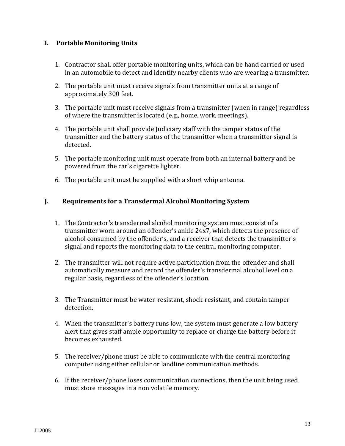# **I. Portable Monitoring Units**

- 1. Contractor shall offer portable monitoring units, which can be hand carried or used in an automobile to detect and identify nearby clients who are wearing a transmitter.
- 2. The portable unit must receive signals from transmitter units at a range of approximately 300 feet.
- 3. The portable unit must receive signals from a transmitter (when in range) regardless of where the transmitter is located (e.g., home, work, meetings).
- 4. The portable unit shall provide Judiciary staff with the tamper status of the transmitter and the battery status of the transmitter when a transmitter signal is detected.
- 5. The portable monitoring unit must operate from both an internal battery and be powered from the car's cigarette lighter.
- 6. The portable unit must be supplied with a short whip antenna.

# **J. Requirements for a Transdermal Alcohol Monitoring System**

- 1. The Contractor's transdermal alcohol monitoring system must consist of a transmitter worn around an offender's ankle 24x7, which detects the presence of alcohol consumed by the offender's, and a receiver that detects the transmitter's signal and reports the monitoring data to the central monitoring computer.
- 2. The transmitter will not require active participation from the offender and shall automatically measure and record the offender's transdermal alcohol level on a regular basis, regardless of the offender's location.
- 3. The Transmitter must be water-resistant, shock-resistant, and contain tamper detection.
- 4. When the transmitter's battery runs low, the system must generate a low battery alert that gives staff ample opportunity to replace or charge the battery before it becomes exhausted.
- 5. The receiver/phone must be able to communicate with the central monitoring computer using either cellular or landline communication methods.
- 6. If the receiver/phone loses communication connections, then the unit being used must store messages in a non volatile memory.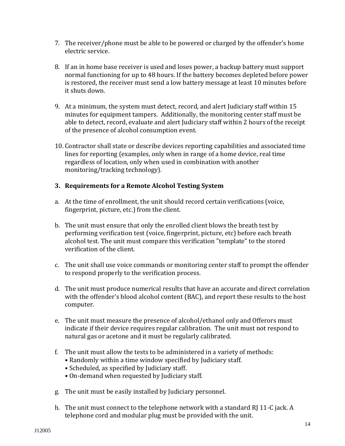- 7. The receiver/phone must be able to be powered or charged by the offender's home electric service.
- 8. If an in home base receiver is used and loses power, a backup battery must support normal functioning for up to 48 hours. If the battery becomes depleted before power is restored, the receiver must send a low battery message at least 10 minutes before it shuts down.
- 9. At a minimum, the system must detect, record, and alert Judiciary staff within 15 minutes for equipment tampers. Additionally, the monitoring center staff must be able to detect, record, evaluate and alert Judiciary staff within 2 hours of the receipt of the presence of alcohol consumption event.
- 10. Contractor shall state or describe devices reporting capabilities and associated time lines for reporting (examples, only when in range of a home device, real time regardless of location, only when used in combination with another monitoring/tracking technology).

# **3. Requirements for a Remote Alcohol Testing System**

- a. At the time of enrollment, the unit should record certain verifications (voice, fingerprint, picture, etc.) from the client.
- b. The unit must ensure that only the enrolled client blows the breath test by performing verification test (voice, fingerprint, picture, etc) before each breath alcohol test. The unit must compare this verification "template" to the stored verification of the client.
- c. The unit shall use voice commands or monitoring center staff to prompt the offender to respond properly to the verification process.
- d. The unit must produce numerical results that have an accurate and direct correlation with the offender's blood alcohol content (BAC), and report these results to the host computer.
- e. The unit must measure the presence of alcohol/ethanol only and Offerors must indicate if their device requires regular calibration. The unit must not respond to natural gas or acetone and it must be regularly calibrated.
- f. The unit must allow the tests to be administered in a variety of methods:
	- Randomly within a time window specified by Judiciary staff.
		- Scheduled, as specified by Judiciary staff.
	- On-demand when requested by Judiciary staff.
- g. The unit must be easily installed by Judiciary personnel.
- h. The unit must connect to the telephone network with a standard RJ 11-C jack. A telephone cord and modular plug must be provided with the unit.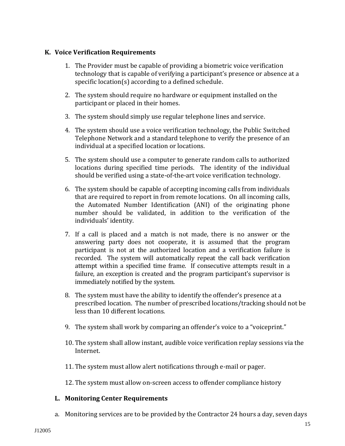#### **K. Voice Verification Requirements**

- 1. The Provider must be capable of providing a biometric voice verification technology that is capable of verifying a participant's presence or absence at a specific location(s) according to a defined schedule.
- 2. The system should require no hardware or equipment installed on the participant or placed in their homes.
- 3. The system should simply use regular telephone lines and service.
- 4. The system should use a voice verification technology, the Public Switched Telephone Network and a standard telephone to verify the presence of an individual at a specified location or locations.
- 5. The system should use a computer to generate random calls to authorized locations during specified time periods. The identity of the individual should be verified using a state-of-the-art voice verification technology.
- 6. The system should be capable of accepting incoming calls from individuals that are required to report in from remote locations. On all incoming calls, the Automated Number Identification (ANI) of the originating phone number should be validated, in addition to the verification of the individuals' identity.
- 7. If a call is placed and a match is not made, there is no answer or the answering party does not cooperate, it is assumed that the program participant is not at the authorized location and a verification failure is recorded. The system will automatically repeat the call back verification attempt within a specified time frame. If consecutive attempts result in a failure, an exception is created and the program participant's supervisor is immediately notified by the system.
- 8. The system must have the ability to identify the offender's presence at a prescribed location. The number of prescribed locations/tracking should not be less than 10 different locations.
- 9. The system shall work by comparing an offender's voice to a "voiceprint."
- 10. The system shall allow instant, audible voice verification replay sessions via the Internet.
- 11. The system must allow alert notifications through e-mail or pager.
- 12. The system must allow on-screen access to offender compliance history

# **L. Monitoring Center Requirements**

a. Monitoring services are to be provided by the Contractor 24 hours a day, seven days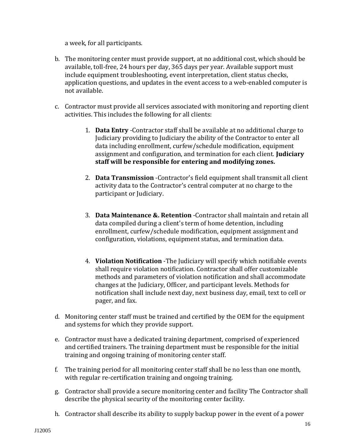a week, for all participants.

- b. The monitoring center must provide support, at no additional cost, which should be available, toll-free, 24 hours per day, 365 days per year. Available support must include equipment troubleshooting, event interpretation, client status checks, application questions, and updates in the event access to a web-enabled computer is not available.
- c. Contractor must provide all services associated with monitoring and reporting client activities. This includes the following for all clients:
	- 1. **Data Entry** -Contractor staff shall be available at no additional charge to Judiciary providing to Judiciary the ability of the Contractor to enter all data including enrollment, curfew/schedule modification, equipment assignment and configuration, and termination for each client. **Judiciary staff will be responsible for entering and modifying zones.**
	- 2. **Data Transmission** -Contractor's field equipment shall transmit all client activity data to the Contractor's central computer at no charge to the participant or Judiciary.
	- 3. **Data Maintenance &. Retention** -Contractor shall maintain and retain all data compiled during a client's term of home detention, including enrollment, curfew/schedule modification, equipment assignment and configuration, violations, equipment status, and termination data.
	- 4. **Violation Notification** -The Judiciary will specify which notifiable events shall require violation notification. Contractor shall offer customizable methods and parameters of violation notification and shall accommodate changes at the Judiciary, Officer, and participant levels. Methods for notification shall include next day, next business day, email, text to cell or pager, and fax.
- d. Monitoring center staff must be trained and certified by the OEM for the equipment and systems for which they provide support.
- e. Contractor must have a dedicated training department, comprised of experienced and certified trainers. The training department must be responsible for the initial training and ongoing training of monitoring center staff.
- f. The training period for all monitoring center staff shall be no less than one month, with regular re-certification training and ongoing training.
- g. Contractor shall provide a secure monitoring center and facility The Contractor shall describe the physical security of the monitoring center facility.
- h. Contractor shall describe its ability to supply backup power in the event of a power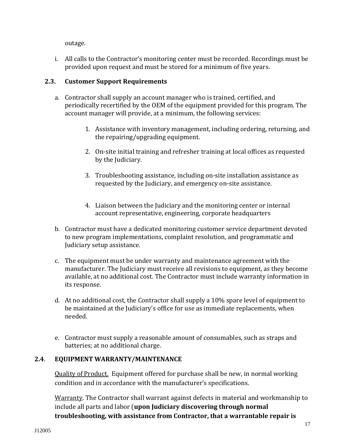outage.

i. All calls to the Contractor's monitoring center must be recorded. Recordings must be provided upon request and must be stored for a minimum of five years.

# **2.3. Customer Support Requirements**

- a. Contractor shall supply an account manager who is trained, certified, and periodically recertified by the OEM of the equipment provided for this program. The account manager will provide, at a minimum, the following services:
	- 1. Assistance with inventory management, including ordering, returning, and the repairing/upgrading equipment.
	- 2. On-site initial training and refresher training at local offices as requested by the Judiciary.
	- 3. Troubleshooting assistance, including on-site installation assistance as requested by the Judiciary, and emergency on-site assistance.
	- 4. Liaison between the Judiciary and the monitoring center or internal account representative, engineering, corporate headquarters
- b. Contractor must have a dedicated monitoring customer service department devoted to new program implementations, complaint resolution, and programmatic and Judiciary setup assistance.
- c. The equipment must be under warranty and maintenance agreement with the manufacturer. The Judiciary must receive all revisions to equipment, as they become available, at no additional cost. The Contractor must include warranty information in its response.
- d. At no additional cost, the Contractor shall supply a 10% spare level of equipment to be maintained at the Judiciary's office for use as immediate replacements, when needed.
- e. Contractor must supply a reasonable amount of consumables, such as straps and batteries; at no additional charge.

# **2.4**. **EQUIPMENT WARRANTY/MAINTENANCE**

Quality of Product. Equipment offered for purchase shall be new, in normal working condition and in accordance with the manufacturer's specifications.

Warranty. The Contractor shall warrant against defects in material and workmanship to include all parts and labor (**upon Judiciary discovering through normal troubleshooting, with assistance from Contractor, that a warrantable repair is**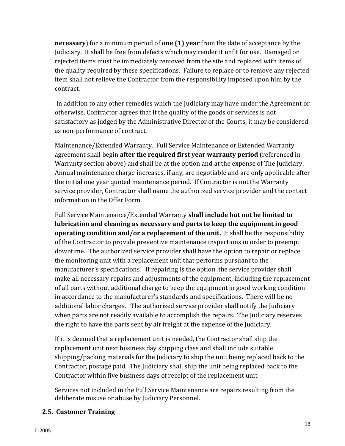**necessary**) for a minimum period of **one (1) year** from the date of acceptance by the Judiciary. It shall be free from defects which may render it unfit for use. Damaged or rejected items must be immediately removed from the site and replaced with items of the quality required by these specifications. Failure to replace or to remove any rejected item shall not relieve the Contractor from the responsibility imposed upon him by the contract.

In addition to any other remedies which the Judiciary may have under the Agreement or otherwise, Contractor agrees that if the quality of the goods or services is not satisfactory as judged by the Administrative Director of the Courts, it may be considered as non-performance of contract.

Maintenance/Extended Warranty. Full Service Maintenance or Extended Warranty agreement shall begin **after the required first year warranty period** (referenced in Warranty section above) and shall be at the option and at the expense of The Judiciary. Annual maintenance charge increases, if any, are negotiable and are only applicable after the initial one year quoted maintenance period. If Contractor is not the Warranty service provider, Contractor shall name the authorized service provider and the contact information in the Offer Form.

Full Service Maintenance/Extended Warranty **shall include but not be limited to lubrication and cleaning as necessary and parts to keep the equipment in good operating condition and/or a replacement of the unit.** It shall be the responsibility of the Contractor to provide preventive maintenance inspections in order to preempt downtime. The authorized service provider shall have the option to repair or replace the monitoring unit with a replacement unit that performs pursuant to the manufacturer's specifications. If repairing is the option, the service provider shall make all necessary repairs and adjustments of the equipment, including the replacement of all parts without additional charge to keep the equipment in good working condition in accordance to the manufacturer's standards and specifications. There will be no additional labor charges. The authorized service provider shall notify the Judiciary when parts are not readily available to accomplish the repairs. The Judiciary reserves the right to have the parts sent by air freight at the expense of the Judiciary.

If it is deemed that a replacement unit is needed, the Contractor shall ship the replacement unit next business day shipping class and shall include suitable shipping/packing materials for the Judiciary to ship the unit being replaced back to the Contractor, postage paid. The Judiciary shall ship the unit being replaced back to the Contractor within five business days of receipt of the replacement unit.

Services not included in the Full Service Maintenance are repairs resulting from the deliberate misuse or abuse by Judiciary Personnel.

# **2.5. Customer Training**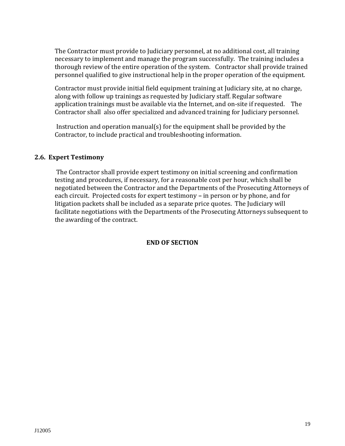The Contractor must provide to Judiciary personnel, at no additional cost, all training necessary to implement and manage the program successfully. The training includes a thorough review of the entire operation of the system. Contractor shall provide trained personnel qualified to give instructional help in the proper operation of the equipment.

Contractor must provide initial field equipment training at Judiciary site, at no charge, along with follow up trainings as requested by Judiciary staff. Regular software application trainings must be available via the Internet, and on-site if requested. The Contractor shall also offer specialized and advanced training for Judiciary personnel.

Instruction and operation manual(s) for the equipment shall be provided by the Contractor, to include practical and troubleshooting information.

#### **2.6. Expert Testimony**

The Contractor shall provide expert testimony on initial screening and confirmation testing and procedures, if necessary, for a reasonable cost per hour, which shall be negotiated between the Contractor and the Departments of the Prosecuting Attorneys of each circuit. Projected costs for expert testimony – in person or by phone, and for litigation packets shall be included as a separate price quotes. The Judiciary will facilitate negotiations with the Departments of the Prosecuting Attorneys subsequent to the awarding of the contract.

#### **END OF SECTION**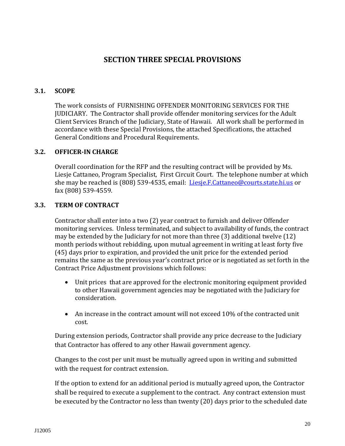# **SECTION THREE SPECIAL PROVISIONS**

# **3.1. SCOPE**

The work consists of FURNISHING OFFENDER MONITORING SERVICES FOR THE JUDICIARY. The Contractor shall provide offender monitoring services for the Adult Client Services Branch of the Judiciary, State of Hawaii. All work shall be performed in accordance with these Special Provisions, the attached Specifications, the attached General Conditions and Procedural Requirements.

# **3.2. OFFICER-IN CHARGE**

Overall coordination for the RFP and the resulting contract will be provided by Ms. Liesje Cattaneo, Program Specialist, First Circuit Court. The telephone number at which she may be reached is (808) 539-4535, email: [Liesje.F.Cattaneo@courts.state.hi.us](mailto:Liesje.F.Cattaneo@courts.state.hi.us) or fax (808) 539-4559.

# **3.3. TERM OF CONTRACT**

Contractor shall enter into a two (2) year contract to furnish and deliver Offender monitoring services. Unless terminated, and subject to availability of funds, the contract may be extended by the Judiciary for not more than three (3) additional twelve (12) month periods without rebidding, upon mutual agreement in writing at least forty five (45) days prior to expiration, and provided the unit price for the extended period remains the same as the previous year's contract price or is negotiated as set forth in the Contract Price Adjustment provisions which follows:

- Unit prices that are approved for the electronic monitoring equipment provided to other Hawaii government agencies may be negotiated with the Judiciary for consideration.
- An increase in the contract amount will not exceed 10% of the contracted unit cost.

During extension periods, Contractor shall provide any price decrease to the Judiciary that Contractor has offered to any other Hawaii government agency.

Changes to the cost per unit must be mutually agreed upon in writing and submitted with the request for contract extension.

If the option to extend for an additional period is mutually agreed upon, the Contractor shall be required to execute a supplement to the contract. Any contract extension must be executed by the Contractor no less than twenty (20) days prior to the scheduled date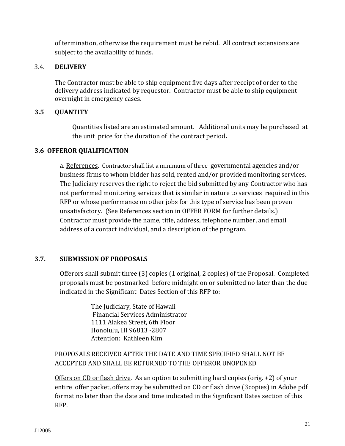of termination, otherwise the requirement must be rebid. All contract extensions are subject to the availability of funds.

# 3.4. **DELIVERY**

The Contractor must be able to ship equipment five days after receipt of order to the delivery address indicated by requestor. Contractor must be able to ship equipment overnight in emergency cases.

# **3.5 QUANTITY**

Quantities listed are an estimated amount. Additional units may be purchased at the unit price for the duration of the contract period**.**

# **3.6 OFFEROR QUALIFICATION**

a. References. Contractor shall list a minimum of three governmental agencies and/or business firms to whom bidder has sold, rented and/or provided monitoring services. The Judiciary reserves the right to reject the bid submitted by any Contractor who has not performed monitoring services that is similar in nature to services required in this RFP or whose performance on other jobs for this type of service has been proven unsatisfactory. (See References section in OFFER FORM for further details.) Contractor must provide the name, title, address, telephone number, and email address of a contact individual, and a description of the program.

# **3.7. SUBMISSION OF PROPOSALS**

Offerors shall submit three (3) copies (1 original, 2 copies) of the Proposal. Completed proposals must be postmarked before midnight on or submitted no later than the due indicated in the Significant Dates Section of this RFP to:

> The Judiciary, State of Hawaii Financial Services Administrator 1111 Alakea Street, 6th Floor Honolulu, HI 96813 -2807 Attention: Kathleen Kim

# PROPOSALS RECEIVED AFTER THE DATE AND TIME SPECIFIED SHALL NOT BE ACCEPTED AND SHALL BE RETURNED TO THE OFFEROR UNOPENED

Offers on CD or flash drive. As an option to submitting hard copies (orig. +2) of your entire offer packet, offers may be submitted on CD or flash drive (3copies) in Adobe pdf format no later than the date and time indicated in the Significant Dates section of this RFP.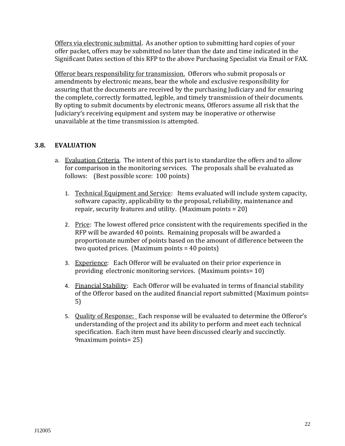Offers via electronic submittal. As another option to submitting hard copies of your offer packet, offers may be submitted no later than the date and time indicated in the Significant Dates section of this RFP to the above Purchasing Specialist via Email or FAX.

Offeror bears responsibility for transmission. Offerors who submit proposals or amendments by electronic means, bear the whole and exclusive responsibility for assuring that the documents are received by the purchasing Judiciary and for ensuring the complete, correctly formatted, legible, and timely transmission of their documents. By opting to submit documents by electronic means, Offerors assume all risk that the Judiciary's receiving equipment and system may be inoperative or otherwise unavailable at the time transmission is attempted.

#### **3.8. EVALUATION**

- a. Evaluation Criteria. The intent of this part is to standardize the offers and to allow for comparison in the monitoring services. The proposals shall be evaluated as follows: (Best possible score: 100 points)
	- 1. Technical Equipment and Service: Items evaluated will include system capacity, software capacity, applicability to the proposal, reliability, maintenance and repair, security features and utility. (Maximum points = 20)
	- 2. Price: The lowest offered price consistent with the requirements specified in the RFP will be awarded 40 points. Remaining proposals will be awarded a proportionate number of points based on the amount of difference between the two quoted prices. (Maximum points = 40 points)
	- 3. Experience: Each Offeror will be evaluated on their prior experience in providing electronic monitoring services. (Maximum points= 10)
	- 4. Financial Stability: Each Offeror will be evaluated in terms of financial stability of the Offeror based on the audited financial report submitted (Maximum points= 5)
	- 5. Quality of Response: Each response will be evaluated to determine the Offeror's understanding of the project and its ability to perform and meet each technical specification. Each item must have been discussed clearly and succinctly. 9maximum points= 25)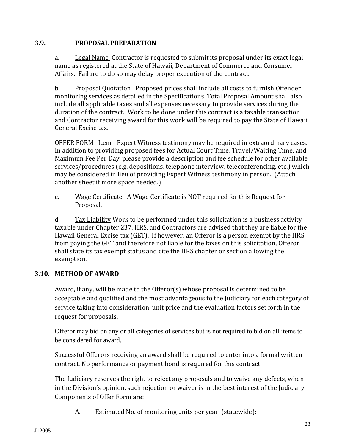#### **3.9. PROPOSAL PREPARATION**

a. Legal Name Contractor is requested to submit its proposal under its exact legal name as registered at the State of Hawaii, Department of Commerce and Consumer Affairs. Failure to do so may delay proper execution of the contract.

b. Proposal Quotation Proposed prices shall include all costs to furnish Offender monitoring services as detailed in the Specifications. Total Proposal Amount shall also include all applicable taxes and all expenses necessary to provide services during the duration of the contract. Work to be done under this contract is a taxable transaction and Contractor receiving award for this work will be required to pay the State of Hawaii General Excise tax.

OFFER FORM Item - Expert Witness testimony may be required in extraordinary cases. In addition to providing proposed fees for Actual Court Time, Travel/Waiting Time, and Maximum Fee Per Day, please provide a description and fee schedule for other available services/procedures (e.g. depositions, telephone interview, teleconferencing, etc.) which may be considered in lieu of providing Expert Witness testimony in person. (Attach another sheet if more space needed.)

c. Wage Certificate A Wage Certificate is NOT required for this Request for Proposal.

d. Tax Liability Work to be performed under this solicitation is a business activity taxable under Chapter 237, HRS, and Contractors are advised that they are liable for the Hawaii General Excise tax (GET). If however, an Offeror is a person exempt by the HRS from paying the GET and therefore not liable for the taxes on this solicitation, Offeror shall state its tax exempt status and cite the HRS chapter or section allowing the exemption.

# **3.10. METHOD OF AWARD**

Award, if any, will be made to the Offeror(s) whose proposal is determined to be acceptable and qualified and the most advantageous to the Judiciary for each category of service taking into consideration unit price and the evaluation factors set forth in the request for proposals.

Offeror may bid on any or all categories of services but is not required to bid on all items to be considered for award.

Successful Offerors receiving an award shall be required to enter into a formal written contract. No performance or payment bond is required for this contract.

The Judiciary reserves the right to reject any proposals and to waive any defects, when in the Division's opinion, such rejection or waiver is in the best interest of the Judiciary. Components of Offer Form are:

A. Estimated No. of monitoring units per year (statewide):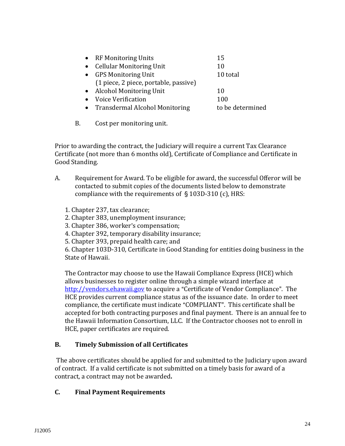| • RF Monitoring Units                 | 15               |
|---------------------------------------|------------------|
| • Cellular Monitoring Unit            | 10               |
| • GPS Monitoring Unit                 | 10 total         |
| (1 piece, 2 piece, portable, passive) |                  |
| • Alcohol Monitoring Unit             | 10               |
| • Voice Verification                  | 100              |
| <b>Transdermal Alcohol Monitoring</b> | to be determined |
|                                       |                  |

B. Cost per monitoring unit.

Prior to awarding the contract, the Judiciary will require a current Tax Clearance Certificate (not more than 6 months old), Certificate of Compliance and Certificate in Good Standing.

- A. Requirement for Award. To be eligible for award, the successful Offeror will be contacted to submit copies of the documents listed below to demonstrate compliance with the requirements of  $\S$  103D-310 (c), HRS:
	- 1. Chapter 237, tax clearance;
	- 2. Chapter 383, unemployment insurance;
	- 3. Chapter 386, worker's compensation;
	- 4. Chapter 392, temporary disability insurance;
	- 5. Chapter 393, prepaid health care; and

6. Chapter 103D-310, Certificate in Good Standing for entities doing business in the State of Hawaii.

The Contractor may choose to use the Hawaii Compliance Express (HCE) which allows businesses to register online through a simple wizard interface at http://vendors.ehawaii.gov to acquire a "Certificate of Vendor Compliance". The HCE provides current compliance status as of the issuance date. In order to meet compliance, the certificate must indicate "COMPLIANT". This certificate shall be accepted for both contracting purposes and final payment. There is an annual fee to the Hawaii Information Consortium, LLC. If the Contractor chooses not to enroll in HCE, paper certificates are required.

# **B. Timely Submission of all Certificates**

The above certificates should be applied for and submitted to the Judiciary upon award of contract. If a valid certificate is not submitted on a timely basis for award of a contract, a contract may not be awarded**.**

#### **C. Final Payment Requirements**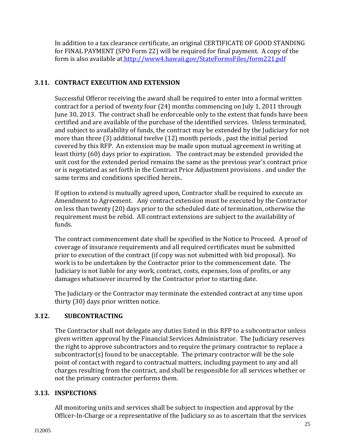In addition to a tax clearance certificate, an original CERTIFICATE OF GOOD STANDING for FINAL PAYMENT (SPO Form 22) will be required for final payment. A copy of the form is also available at <http://www4.hawaii.gov/StateFormsFiles/form221.pdf>

# **3.11. CONTRACT EXECUTION AND EXTENSION**

Successful Offeror receiving the award shall be required to enter into a formal written contract for a period of twenty four (24) months commencing on July 1, 2011 through June 30, 2013. The contract shall be enforceable only to the extent that funds have been certified and are available of the purchase of the identified services. Unless terminated, and subject to availability of funds, the contract may be extended by the Judiciary for not more than three (3) additional twelve (12) month periods , past the initial period covered by this RFP. An extension may be made upon mutual agreement in writing at least thirty (60) days prior to expiration. The contract may be extended provided the unit cost for the extended period remains the same as the previous year's contract price or is negotiated as set forth in the Contract Price Adjustment provisions . and under the same terms and conditions specified herein**.** 

If option to extend is mutually agreed upon, Contractor shall be required to execute an Amendment to Agreement. Any contract extension must be executed by the Contractor on less than twenty (20) days prior to the scheduled date of termination, otherwise the requirement must be rebid. All contract extensions are subject to the availability of funds.

The contract commencement date shall be specified in the Notice to Proceed. A proof of coverage of insurance requirements and all required certificates must be submitted prior to execution of the contract (if copy was not submitted with bid proposal). No work is to be undertaken by the Contractor prior to the commencement date. The Judiciary is not liable for any work, contract, costs, expenses, loss of profits, or any damages whatsoever incurred by the Contractor prior to starting date.

The Judiciary or the Contractor may terminate the extended contract at any time upon thirty (30) days prior written notice.

# **3.12. SUBCONTRACTING**

The Contractor shall not delegate any duties listed in this RFP to a subcontractor unless given written approval by the Financial Services Administrator. The Judiciary reserves the right to approve subcontractors and to require the primary contractor to replace a subcontractor(s) found to be unacceptable. The primary contractor will be the sole point of contact with regard to contractual matters, including payment to any and all charges resulting from the contract, and shall be responsible for all services whether or not the primary contractor performs them.

#### **3.13. INSPECTIONS**

All monitoring units and services shall be subject to inspection and approval by the Officer-In-Charge or a representative of the Judiciary so as to ascertain that the services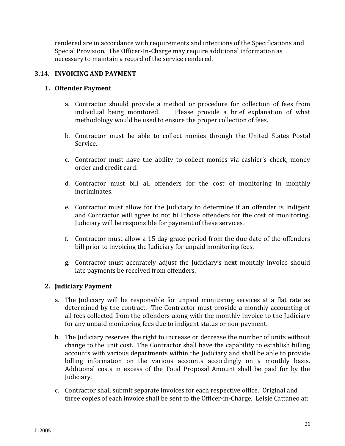rendered are in accordance with requirements and intentions of the Specifications and Special Provision. The Officer-In-Charge may require additional information as necessary to maintain a record of the service rendered.

# **3.14. INVOICING AND PAYMENT**

#### **1. Offender Payment**

- a. Contractor should provide a method or procedure for collection of fees from individual being monitored. Please provide a brief explanation of what methodology would be used to ensure the proper collection of fees.
- b. Contractor must be able to collect monies through the United States Postal Service.
- c. Contractor must have the ability to collect monies via cashier's check, money order and credit card.
- d. Contractor must bill all offenders for the cost of monitoring in monthly incriminates.
- e. Contractor must allow for the Judiciary to determine if an offender is indigent and Contractor will agree to not bill those offenders for the cost of monitoring. Judiciary will be responsible for payment of these services.
- f. Contractor must allow a 15 day grace period from the due date of the offenders bill prior to invoicing the Judiciary for unpaid monitoring fees.
- g. Contractor must accurately adjust the Judiciary's next monthly invoice should late payments be received from offenders.

#### **2. Judiciary Payment**

- a. The Judiciary will be responsible for unpaid monitoring services at a flat rate as determined by the contract. The Contractor must provide a monthly accounting of all fees collected from the offenders along with the monthly invoice to the Judiciary for any unpaid monitoring fees due to indigent status or non-payment.
- b. The Judiciary reserves the right to increase or decrease the number of units without change to the unit cost. The Contractor shall have the capability to establish billing accounts with various departments within the Judiciary and shall be able to provide billing information on the various accounts accordingly on a monthly basis. Additional costs in excess of the Total Proposal Amount shall be paid for by the Judiciary.
- c. Contractor shall submit separate invoices for each respective office. Original and three copies of each invoice shall be sent to the Officer-in-Charge, Leisje Cattaneo at: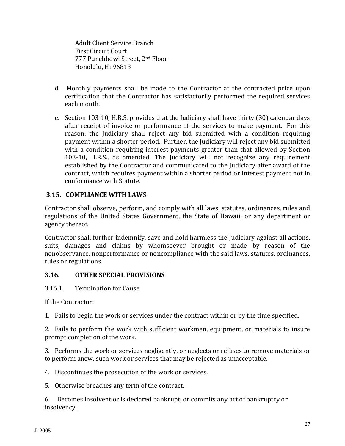Adult Client Service Branch First Circuit Court 777 Punchbowl Street, 2nd Floor Honolulu, Hi 96813

- d. Monthly payments shall be made to the Contractor at the contracted price upon certification that the Contractor has satisfactorily performed the required services each month.
- e. Section 103-10, H.R.S. provides that the Judiciary shall have thirty (30) calendar days after receipt of invoice or performance of the services to make payment. For this reason, the Judiciary shall reject any bid submitted with a condition requiring payment within a shorter period. Further, the Judiciary will reject any bid submitted with a condition requiring interest payments greater than that allowed by Section 103-10, H.R.S., as amended. The Judiciary will not recognize any requirement established by the Contractor and communicated to the Judiciary after award of the contract, which requires payment within a shorter period or interest payment not in conformance with Statute.

# **3.15. COMPLIANCE WITH LAWS**

Contractor shall observe, perform, and comply with all laws, statutes, ordinances, rules and regulations of the United States Government, the State of Hawaii, or any department or agency thereof.

Contractor shall further indemnify, save and hold harmless the Judiciary against all actions, suits, damages and claims by whomsoever brought or made by reason of the nonobservance, nonperformance or noncompliance with the said laws, statutes, ordinances, rules or regulations

#### **3.16. OTHER SPECIAL PROVISIONS**

#### 3.16.1. Termination for Cause

If the Contractor:

1. Fails to begin the work or services under the contract within or by the time specified.

2. Fails to perform the work with sufficient workmen, equipment, or materials to insure prompt completion of the work.

3. Performs the work or services negligently, or neglects or refuses to remove materials or to perform anew, such work or services that may be rejected as unacceptable.

4. Discontinues the prosecution of the work or services.

5. Otherwise breaches any term of the contract.

6. Becomes insolvent or is declared bankrupt, or commits any act of bankruptcy or insolvency.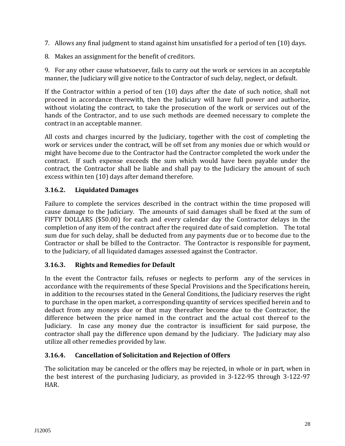- 7. Allows any final judgment to stand against him unsatisfied for a period of ten (10) days.
- 8. Makes an assignment for the benefit of creditors.

9. For any other cause whatsoever, fails to carry out the work or services in an acceptable manner, the Judiciary will give notice to the Contractor of such delay, neglect, or default.

If the Contractor within a period of ten (10) days after the date of such notice, shall not proceed in accordance therewith, then the Judiciary will have full power and authorize, without violating the contract, to take the prosecution of the work or services out of the hands of the Contractor, and to use such methods are deemed necessary to complete the contract in an acceptable manner.

All costs and charges incurred by the Judiciary, together with the cost of completing the work or services under the contract, will be off set from any monies due or which would or might have become due to the Contractor had the Contractor completed the work under the contract. If such expense exceeds the sum which would have been payable under the contract, the Contractor shall be liable and shall pay to the Judiciary the amount of such excess within ten (10) days after demand therefore.

# **3.16.2. Liquidated Damages**

Failure to complete the services described in the contract within the time proposed will cause damage to the Judiciary. The amounts of said damages shall be fixed at the sum of FIFTY DOLLARS (\$50.00) for each and every calendar day the Contractor delays in the completion of any item of the contract after the required date of said completion. The total sum due for such delay, shall be deducted from any payments due or to become due to the Contractor or shall be billed to the Contractor. The Contractor is responsible for payment, to the Judiciary, of all liquidated damages assessed against the Contractor.

# **3.16.3. Rights and Remedies for Default**

In the event the Contractor fails, refuses or neglects to perform any of the services in accordance with the requirements of these Special Provisions and the Specifications herein, in addition to the recourses stated in the General Conditions, the Judiciary reserves the right to purchase in the open market, a corresponding quantity of services specified herein and to deduct from any moneys due or that may thereafter become due to the Contractor, the difference between the price named in the contract and the actual cost thereof to the Judiciary. In case any money due the contractor is insufficient for said purpose, the contractor shall pay the difference upon demand by the Judiciary. The Judiciary may also utilize all other remedies provided by law.

# **3.16.4. Cancellation of Solicitation and Rejection of Offers**

The solicitation may be canceled or the offers may be rejected, in whole or in part, when in the best interest of the purchasing Judiciary, as provided in 3-122-95 through 3-122-97 HAR.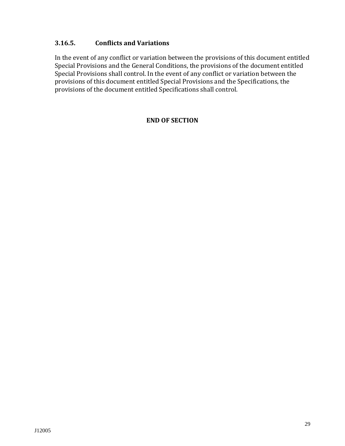# **3.16.5. Conflicts and Variations**

In the event of any conflict or variation between the provisions of this document entitled Special Provisions and the General Conditions, the provisions of the document entitled Special Provisions shall control. In the event of any conflict or variation between the provisions of this document entitled Special Provisions and the Specifications, the provisions of the document entitled Specifications shall control.

#### **END OF SECTION**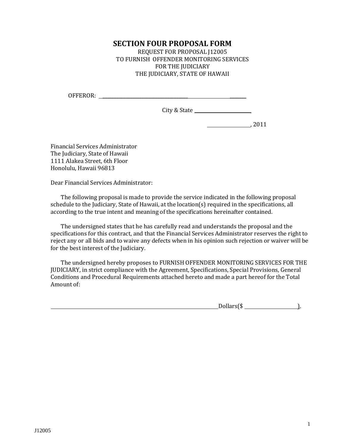# **SECTION FOUR PROPOSAL FORM**

REQUEST FOR PROPOSAL J12005 TO FURNISH OFFENDER MONITORING SERVICES FOR THE IUDICIARY THE JUDICIARY, STATE OF HAWAII

OFFEROR: \_\_\_\_\_\_\_\_\_\_\_\_\_\_\_\_\_\_\_\_\_\_\_\_\_\_\_\_\_\_\_\_\_\_\_\_\_ \_\_\_\_\_\_\_

City & State \_\_\_\_\_\_\_\_\_\_\_\_\_\_\_\_\_\_\_\_\_\_\_

, 2011

Financial Services Administrator The Judiciary, State of Hawaii 1111 Alakea Street, 6th Floor Honolulu, Hawaii 96813

Dear Financial Services Administrator:

The following proposal is made to provide the service indicated in the following proposal schedule to the Judiciary, State of Hawaii, at the location(s) required in the specifications, all according to the true intent and meaning of the specifications hereinafter contained.

The undersigned states that he has carefully read and understands the proposal and the specifications for this contract, and that the Financial Services Administrator reserves the right to reject any or all bids and to waive any defects when in his opinion such rejection or waiver will be for the best interest of the Judiciary.

The undersigned hereby proposes to FURNISH OFFENDER MONITORING SERVICES FOR THE JUDICIARY, in strict compliance with the Agreement, Specifications, Special Provisions, General Conditions and Procedural Requirements attached hereto and made a part hereof for the Total Amount of:

 $Dollars(\$\_$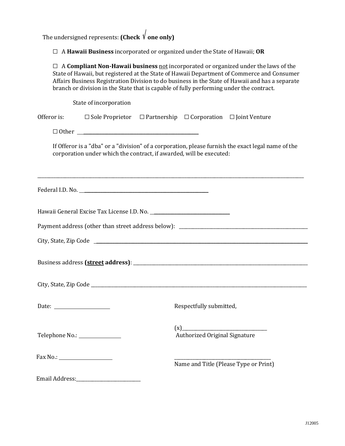The undersigned represents: **(Check**  $\sqrt{$ **one only)** 

G A **Hawaii Business** incorporated or organized under the State of Hawaii; **OR**

| $\Box$ A Compliant Non-Hawaii business not incorporated or organized under the laws of the<br>State of Hawaii, but registered at the State of Hawaii Department of Commerce and Consumer<br>Affairs Business Registration Division to do business in the State of Hawaii and has a separate<br>branch or division in the State that is capable of fully performing under the contract. |                                                                                                    |  |  |  |
|----------------------------------------------------------------------------------------------------------------------------------------------------------------------------------------------------------------------------------------------------------------------------------------------------------------------------------------------------------------------------------------|----------------------------------------------------------------------------------------------------|--|--|--|
| State of incorporation                                                                                                                                                                                                                                                                                                                                                                 |                                                                                                    |  |  |  |
| Offeror is:                                                                                                                                                                                                                                                                                                                                                                            | $\Box$ Sole Proprietor $\Box$ Partnership $\Box$ Corporation $\Box$ Joint Venture                  |  |  |  |
|                                                                                                                                                                                                                                                                                                                                                                                        |                                                                                                    |  |  |  |
| corporation under which the contract, if awarded, will be executed:                                                                                                                                                                                                                                                                                                                    | If Offeror is a "dba" or a "division" of a corporation, please furnish the exact legal name of the |  |  |  |
| Federal I.D. No.                                                                                                                                                                                                                                                                                                                                                                       |                                                                                                    |  |  |  |
|                                                                                                                                                                                                                                                                                                                                                                                        |                                                                                                    |  |  |  |
|                                                                                                                                                                                                                                                                                                                                                                                        |                                                                                                    |  |  |  |
|                                                                                                                                                                                                                                                                                                                                                                                        |                                                                                                    |  |  |  |
|                                                                                                                                                                                                                                                                                                                                                                                        |                                                                                                    |  |  |  |
|                                                                                                                                                                                                                                                                                                                                                                                        |                                                                                                    |  |  |  |
| Date: $\qquad \qquad$                                                                                                                                                                                                                                                                                                                                                                  | Respectfully submitted,                                                                            |  |  |  |
| Telephone No.: ________________                                                                                                                                                                                                                                                                                                                                                        | (x)<br>Authorized Original Signature                                                               |  |  |  |
|                                                                                                                                                                                                                                                                                                                                                                                        | Name and Title (Please Type or Print)                                                              |  |  |  |
|                                                                                                                                                                                                                                                                                                                                                                                        |                                                                                                    |  |  |  |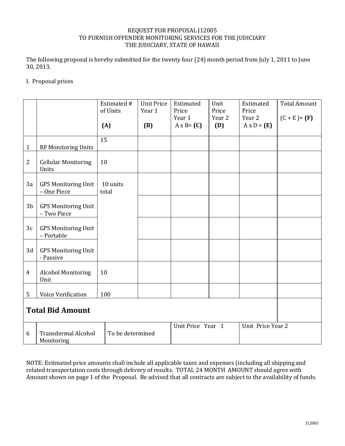#### REQUEST FOR PROPOSAL J12005 TO FURNISH OFFENDER MONITORING SERVICES FOR THE JUDICIARY THE JUDICIARY, STATE OF HAWAII

The following proposal is hereby submitted for the twenty four (24) month period from July 1, 2011 to June 30, 2013.

#### I. Proposal prices

|                         |                                           | Estimated #<br>of Units<br>(A) | <b>Unit Price</b><br>Year 1<br>(B) | Estimated<br>Price<br>Year 1<br>$A \times B = (C)$ | Unit<br>Price<br>Year 2<br>(D) | Estimated<br>Price<br>Year 2<br>$A \times D = (E)$ | <b>Total Amount</b><br>$(C + E) = (F)$ |
|-------------------------|-------------------------------------------|--------------------------------|------------------------------------|----------------------------------------------------|--------------------------------|----------------------------------------------------|----------------------------------------|
| 1                       | RF Monitoring Units                       | 15                             |                                    |                                                    |                                |                                                    |                                        |
| $\boldsymbol{2}$        | <b>Cellular Monitoring</b><br>Units       | 10                             |                                    |                                                    |                                |                                                    |                                        |
| 3a                      | <b>GPS Monitoring Unit</b><br>- One Piece | 10 units<br>total              |                                    |                                                    |                                |                                                    |                                        |
| 3 <sub>b</sub>          | <b>GPS Monitoring Unit</b><br>- Two Piece |                                |                                    |                                                    |                                |                                                    |                                        |
| 3c                      | <b>GPS Monitoring Unit</b><br>- Portable  |                                |                                    |                                                    |                                |                                                    |                                        |
| 3d                      | <b>GPS Monitoring Unit</b><br>- Passive   |                                |                                    |                                                    |                                |                                                    |                                        |
| 4                       | <b>Alcohol Monitoring</b><br>Unit         | 10                             |                                    |                                                    |                                |                                                    |                                        |
| 5                       | Voice Verification                        | 100                            |                                    |                                                    |                                |                                                    |                                        |
| <b>Total Bid Amount</b> |                                           |                                |                                    |                                                    |                                |                                                    |                                        |
| 6                       | <b>Transdermal Alcohol</b><br>Monitoring  | To be determined               |                                    | Unit Price Year 1                                  |                                | Unit Price Year 2                                  |                                        |

NOTE: Estimated price amounts shall include all applicable taxes and expenses (including all shipping and related transportation costs through delivery of results. TOTAL 24 MONTH AMOUNT should agree with Amount shown on page 1 of the Proposal. Be advised that all contracts are subject to the availability of funds.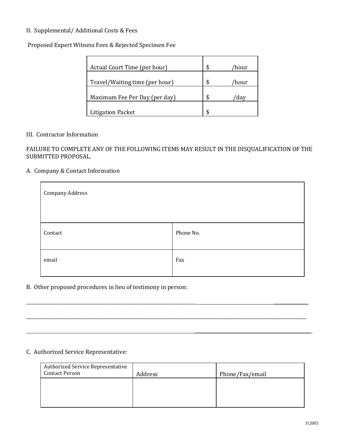#### II. Supplemental/ Additional Costs & Fees

Proposed Expert Witness Fees & Rejected Specimen Fee

| Actual Court Time (per hour)   |   | /hour |
|--------------------------------|---|-------|
| Travel/Waiting time (per hour) |   | /hour |
| Maximum Fee Per Day (per day)  | ፍ | dav   |
| <b>Litigation Packet</b>       |   |       |

#### III. Contractor Information

#### FAILURE TO COMPLETE ANY OF THE FOLLOWING ITEMS MAY RESULT IN THE DISQUALIFICATION OF THE SUBMITTED PROPOSAL.

#### A. Company & Contact Information

| <b>Company Address</b> |           |  |
|------------------------|-----------|--|
| Contact                | Phone No. |  |
| email                  | Fax       |  |

\_\_\_\_\_\_\_\_\_\_\_\_\_\_\_\_\_\_\_\_\_\_\_\_\_\_\_\_\_\_\_\_\_\_\_\_\_\_\_\_\_\_\_\_\_\_\_\_\_\_\_\_\_\_\_\_\_\_\_\_\_\_\_\_\_\_\_\_\_\_\_\_\_\_ \_\_\_\_\_\_\_\_\_\_\_\_\_\_\_

\_\_\_\_\_\_\_\_\_\_\_\_\_\_\_\_\_\_\_\_\_\_\_\_\_\_\_\_\_\_\_\_\_\_\_\_\_\_\_\_\_\_\_\_\_\_\_\_\_\_\_\_\_\_\_\_\_\_\_\_\_\_\_\_\_\_\_\_\_\_\_\_\_\_\_\_\_\_\_\_\_\_\_\_\_\_\_\_\_\_\_\_\_\_\_\_\_\_\_\_\_\_\_\_\_\_\_\_\_\_\_\_\_\_\_\_\_\_\_\_\_\_

\_\_\_\_\_\_\_\_\_\_\_\_\_\_\_\_\_\_\_\_\_\_\_\_\_\_\_\_\_\_\_\_\_\_\_\_\_\_\_\_\_\_\_\_\_\_\_\_\_\_\_

#### B. Other proposed procedures in lieu of testimony in person:

#### C. Authorized Service Representative:

| <b>Authorized Service Representative</b><br><b>Contact Person</b> | Address | Phone/Fax/email |
|-------------------------------------------------------------------|---------|-----------------|
|                                                                   |         |                 |
|                                                                   |         |                 |